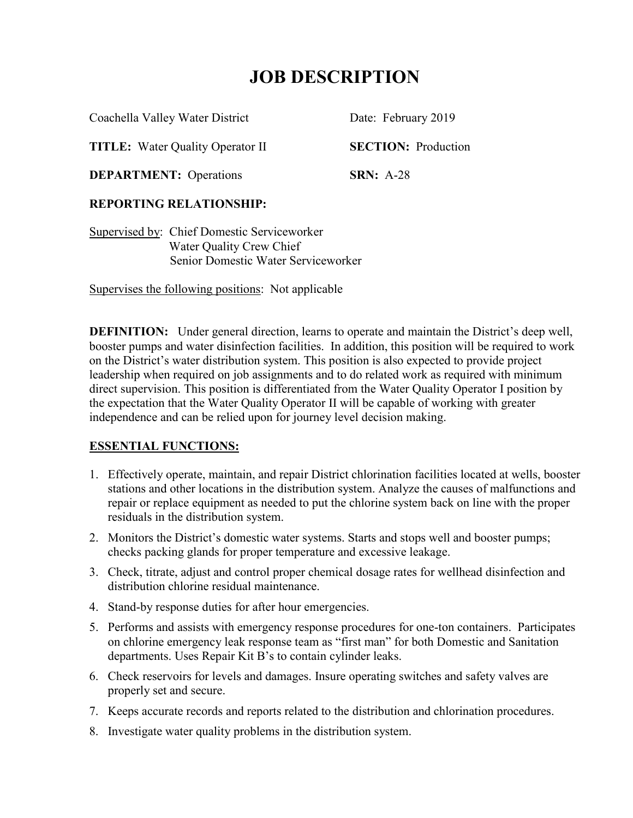Coachella Valley Water District Date: February 2019

**TITLE:** Water Quality Operator II **SECTION:** Production

**DEPARTMENT:** Operations **SRN:** A-28

## **REPORTING RELATIONSHIP:**

Supervised by: Chief Domestic Serviceworker Water Quality Crew Chief Senior Domestic Water Serviceworker

Supervises the following positions: Not applicable

**DEFINITION:** Under general direction, learns to operate and maintain the District's deep well, booster pumps and water disinfection facilities. In addition, this position will be required to work on the District's water distribution system. This position is also expected to provide project leadership when required on job assignments and to do related work as required with minimum direct supervision. This position is differentiated from the Water Quality Operator I position by the expectation that the Water Quality Operator II will be capable of working with greater independence and can be relied upon for journey level decision making.

## **ESSENTIAL FUNCTIONS:**

- 1. Effectively operate, maintain, and repair District chlorination facilities located at wells, booster stations and other locations in the distribution system. Analyze the causes of malfunctions and repair or replace equipment as needed to put the chlorine system back on line with the proper residuals in the distribution system.
- 2. Monitors the District's domestic water systems. Starts and stops well and booster pumps; checks packing glands for proper temperature and excessive leakage.
- 3. Check, titrate, adjust and control proper chemical dosage rates for wellhead disinfection and distribution chlorine residual maintenance.
- 4. Stand-by response duties for after hour emergencies.
- 5. Performs and assists with emergency response procedures for one-ton containers. Participates on chlorine emergency leak response team as "first man" for both Domestic and Sanitation departments. Uses Repair Kit B's to contain cylinder leaks.
- 6. Check reservoirs for levels and damages. Insure operating switches and safety valves are properly set and secure.
- 7. Keeps accurate records and reports related to the distribution and chlorination procedures.
- 8. Investigate water quality problems in the distribution system.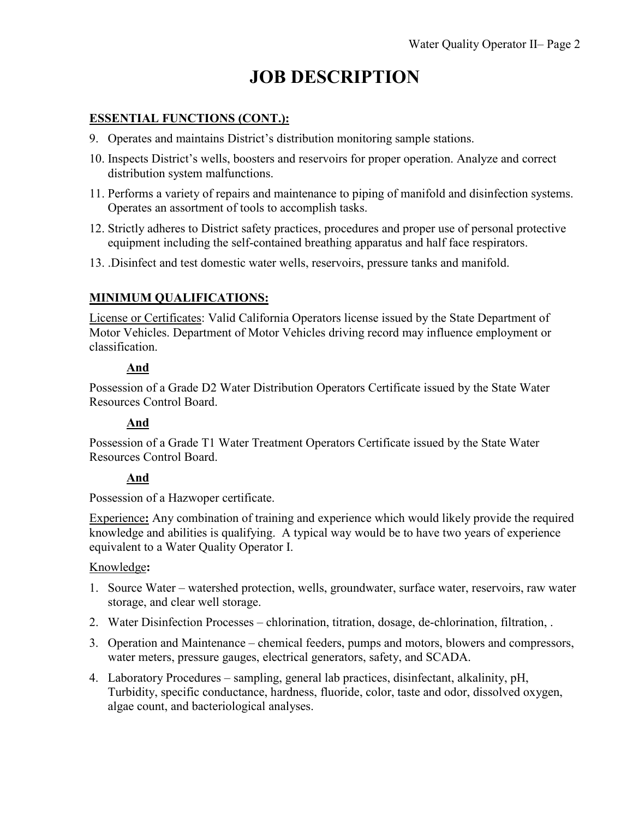### **ESSENTIAL FUNCTIONS (CONT.):**

- 9. Operates and maintains District's distribution monitoring sample stations.
- 10. Inspects District's wells, boosters and reservoirs for proper operation. Analyze and correct distribution system malfunctions.
- 11. Performs a variety of repairs and maintenance to piping of manifold and disinfection systems. Operates an assortment of tools to accomplish tasks.
- 12. Strictly adheres to District safety practices, procedures and proper use of personal protective equipment including the self-contained breathing apparatus and half face respirators.
- 13. .Disinfect and test domestic water wells, reservoirs, pressure tanks and manifold.

## **MINIMUM QUALIFICATIONS:**

License or Certificates: Valid California Operators license issued by the State Department of Motor Vehicles. Department of Motor Vehicles driving record may influence employment or classification.

#### **And**

Possession of a Grade D2 Water Distribution Operators Certificate issued by the State Water Resources Control Board.

#### **And**

Possession of a Grade T1 Water Treatment Operators Certificate issued by the State Water Resources Control Board.

#### **And**

Possession of a Hazwoper certificate.

Experience**:** Any combination of training and experience which would likely provide the required knowledge and abilities is qualifying. A typical way would be to have two years of experience equivalent to a Water Quality Operator I.

#### Knowledge**:**

- 1. Source Water watershed protection, wells, groundwater, surface water, reservoirs, raw water storage, and clear well storage.
- 2. Water Disinfection Processes chlorination, titration, dosage, de-chlorination, filtration, .
- 3. Operation and Maintenance chemical feeders, pumps and motors, blowers and compressors, water meters, pressure gauges, electrical generators, safety, and SCADA.
- 4. Laboratory Procedures sampling, general lab practices, disinfectant, alkalinity, pH, Turbidity, specific conductance, hardness, fluoride, color, taste and odor, dissolved oxygen, algae count, and bacteriological analyses.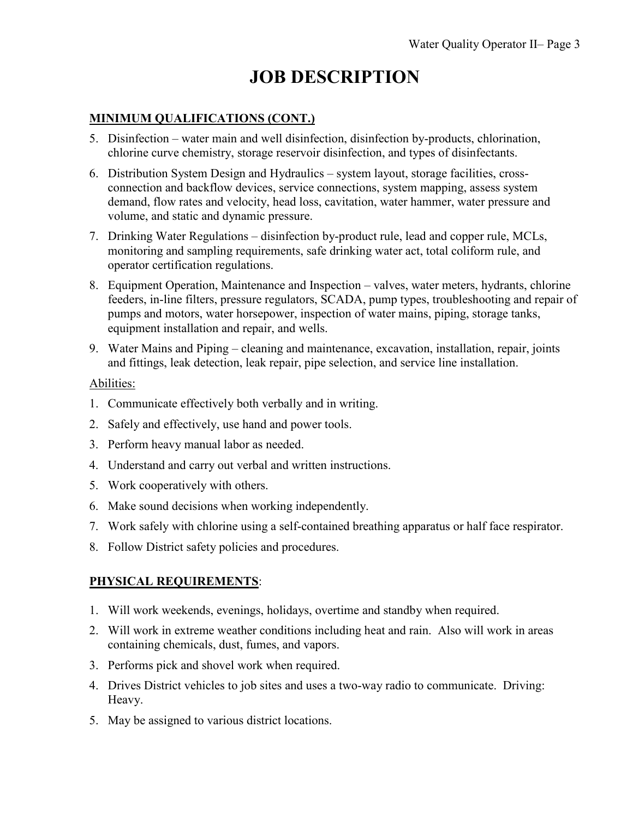### **MINIMUM QUALIFICATIONS (CONT.)**

- 5. Disinfection water main and well disinfection, disinfection by-products, chlorination, chlorine curve chemistry, storage reservoir disinfection, and types of disinfectants.
- 6. Distribution System Design and Hydraulics system layout, storage facilities, crossconnection and backflow devices, service connections, system mapping, assess system demand, flow rates and velocity, head loss, cavitation, water hammer, water pressure and volume, and static and dynamic pressure.
- 7. Drinking Water Regulations disinfection by-product rule, lead and copper rule, MCLs, monitoring and sampling requirements, safe drinking water act, total coliform rule, and operator certification regulations.
- 8. Equipment Operation, Maintenance and Inspection valves, water meters, hydrants, chlorine feeders, in-line filters, pressure regulators, SCADA, pump types, troubleshooting and repair of pumps and motors, water horsepower, inspection of water mains, piping, storage tanks, equipment installation and repair, and wells.
- 9. Water Mains and Piping cleaning and maintenance, excavation, installation, repair, joints and fittings, leak detection, leak repair, pipe selection, and service line installation.

#### Abilities:

- 1. Communicate effectively both verbally and in writing.
- 2. Safely and effectively, use hand and power tools.
- 3. Perform heavy manual labor as needed.
- 4. Understand and carry out verbal and written instructions.
- 5. Work cooperatively with others.
- 6. Make sound decisions when working independently.
- 7. Work safely with chlorine using a self-contained breathing apparatus or half face respirator.
- 8. Follow District safety policies and procedures.

# **PHYSICAL REQUIREMENTS**:

- 1. Will work weekends, evenings, holidays, overtime and standby when required.
- 2. Will work in extreme weather conditions including heat and rain. Also will work in areas containing chemicals, dust, fumes, and vapors.
- 3. Performs pick and shovel work when required.
- 4. Drives District vehicles to job sites and uses a two-way radio to communicate. Driving: Heavy.
- 5. May be assigned to various district locations.